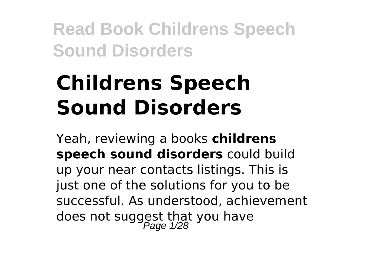# **Childrens Speech Sound Disorders**

Yeah, reviewing a books **childrens speech sound disorders** could build up your near contacts listings. This is just one of the solutions for you to be successful. As understood, achievement does not suggest that you have<br>Page 1/28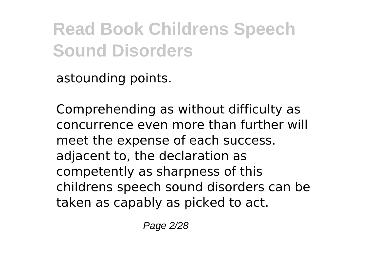astounding points.

Comprehending as without difficulty as concurrence even more than further will meet the expense of each success. adjacent to, the declaration as competently as sharpness of this childrens speech sound disorders can be taken as capably as picked to act.

Page 2/28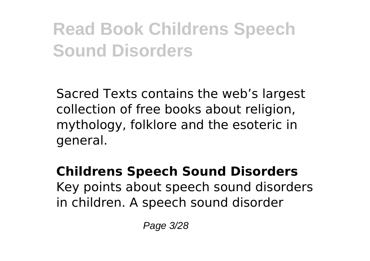Sacred Texts contains the web's largest collection of free books about religion, mythology, folklore and the esoteric in general.

**Childrens Speech Sound Disorders** Key points about speech sound disorders in children. A speech sound disorder

Page 3/28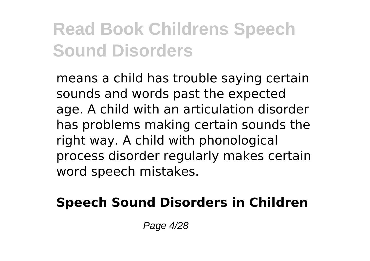means a child has trouble saying certain sounds and words past the expected age. A child with an articulation disorder has problems making certain sounds the right way. A child with phonological process disorder regularly makes certain word speech mistakes.

#### **Speech Sound Disorders in Children**

Page 4/28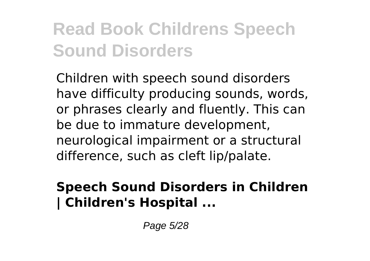Children with speech sound disorders have difficulty producing sounds, words, or phrases clearly and fluently. This can be due to immature development, neurological impairment or a structural difference, such as cleft lip/palate.

#### **Speech Sound Disorders in Children | Children's Hospital ...**

Page 5/28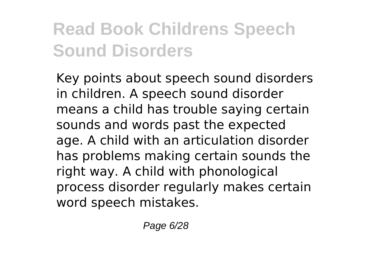Key points about speech sound disorders in children. A speech sound disorder means a child has trouble saying certain sounds and words past the expected age. A child with an articulation disorder has problems making certain sounds the right way. A child with phonological process disorder regularly makes certain word speech mistakes.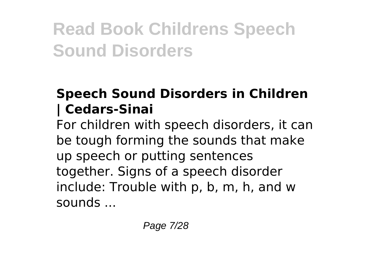#### **Speech Sound Disorders in Children | Cedars-Sinai**

For children with speech disorders, it can be tough forming the sounds that make up speech or putting sentences together. Signs of a speech disorder include: Trouble with p, b, m, h, and w sounds ...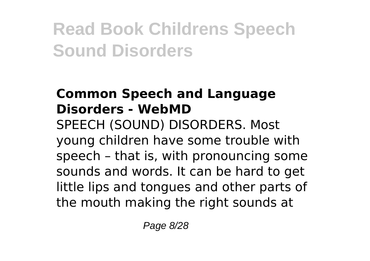#### **Common Speech and Language Disorders - WebMD**

SPEECH (SOUND) DISORDERS. Most young children have some trouble with speech – that is, with pronouncing some sounds and words. It can be hard to get little lips and tongues and other parts of the mouth making the right sounds at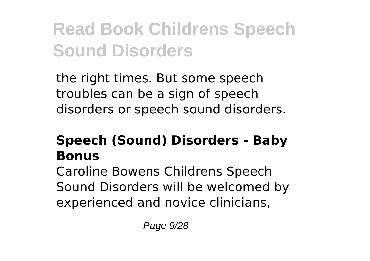the right times. But some speech troubles can be a sign of speech disorders or speech sound disorders.

#### **Speech (Sound) Disorders - Baby Bonus**

Caroline Bowens Childrens Speech Sound Disorders will be welcomed by experienced and novice clinicians,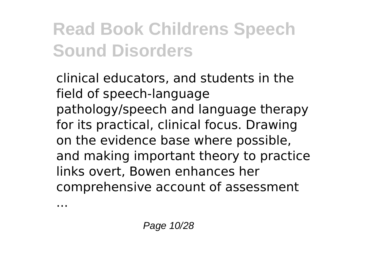clinical educators, and students in the field of speech-language pathology/speech and language therapy for its practical, clinical focus. Drawing on the evidence base where possible, and making important theory to practice links overt, Bowen enhances her comprehensive account of assessment

...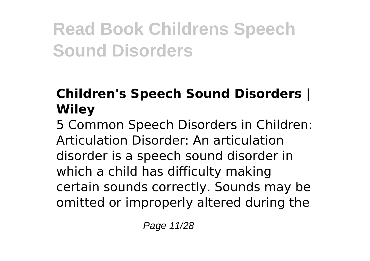#### **Children's Speech Sound Disorders | Wiley**

5 Common Speech Disorders in Children: Articulation Disorder: An articulation disorder is a speech sound disorder in which a child has difficulty making certain sounds correctly. Sounds may be omitted or improperly altered during the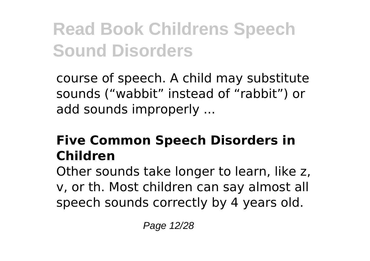course of speech. A child may substitute sounds ("wabbit" instead of "rabbit") or add sounds improperly ...

#### **Five Common Speech Disorders in Children**

Other sounds take longer to learn, like z, v, or th. Most children can say almost all speech sounds correctly by 4 years old.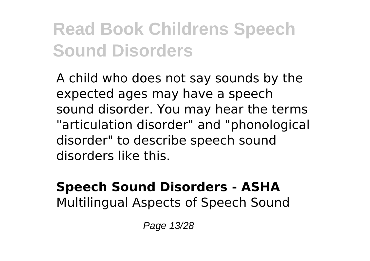A child who does not say sounds by the expected ages may have a speech sound disorder. You may hear the terms "articulation disorder" and "phonological disorder" to describe speech sound disorders like this.

#### **Speech Sound Disorders - ASHA** Multilingual Aspects of Speech Sound

Page 13/28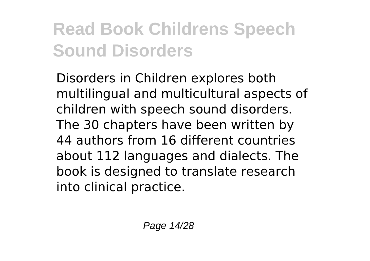Disorders in Children explores both multilingual and multicultural aspects of children with speech sound disorders. The 30 chapters have been written by 44 authors from 16 different countries about 112 languages and dialects. The book is designed to translate research into clinical practice.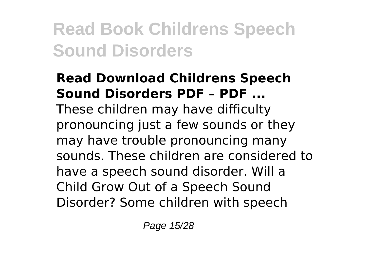#### **Read Download Childrens Speech Sound Disorders PDF – PDF ...** These children may have difficulty pronouncing just a few sounds or they may have trouble pronouncing many sounds. These children are considered to have a speech sound disorder. Will a Child Grow Out of a Speech Sound Disorder? Some children with speech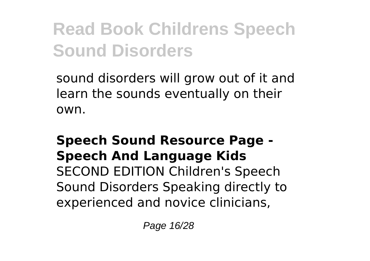sound disorders will grow out of it and learn the sounds eventually on their own.

#### **Speech Sound Resource Page - Speech And Language Kids** SECOND EDITION Children's Speech Sound Disorders Speaking directly to experienced and novice clinicians,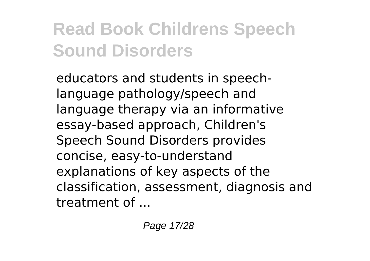educators and students in speechlanguage pathology/speech and language therapy via an informative essay-based approach, Children's Speech Sound Disorders provides concise, easy-to-understand explanations of key aspects of the classification, assessment, diagnosis and treatment of ...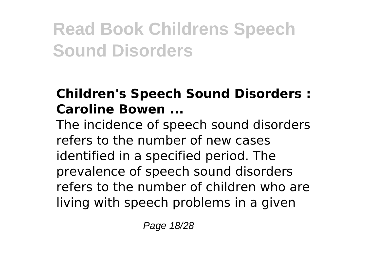#### **Children's Speech Sound Disorders : Caroline Bowen ...**

The incidence of speech sound disorders refers to the number of new cases identified in a specified period. The prevalence of speech sound disorders refers to the number of children who are living with speech problems in a given

Page 18/28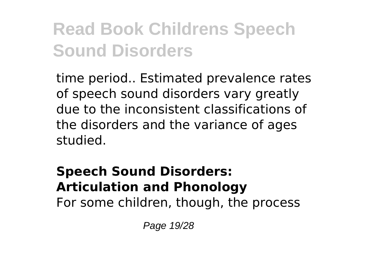time period.. Estimated prevalence rates of speech sound disorders vary greatly due to the inconsistent classifications of the disorders and the variance of ages studied.

### **Speech Sound Disorders: Articulation and Phonology**

For some children, though, the process

Page 19/28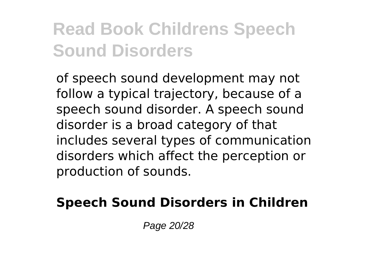of speech sound development may not follow a typical trajectory, because of a speech sound disorder. A speech sound disorder is a broad category of that includes several types of communication disorders which affect the perception or production of sounds.

#### **Speech Sound Disorders in Children**

Page 20/28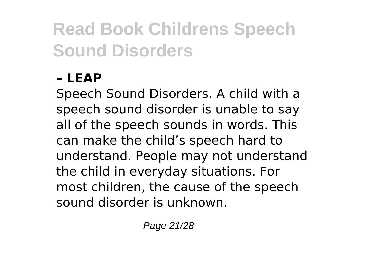#### **– LEAP**

Speech Sound Disorders. A child with a speech sound disorder is unable to say all of the speech sounds in words. This can make the child's speech hard to understand. People may not understand the child in everyday situations. For most children, the cause of the speech sound disorder is unknown.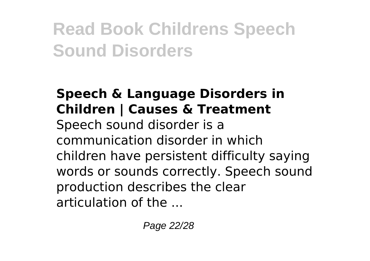#### **Speech & Language Disorders in Children | Causes & Treatment** Speech sound disorder is a communication disorder in which children have persistent difficulty saying words or sounds correctly. Speech sound production describes the clear articulation of the ...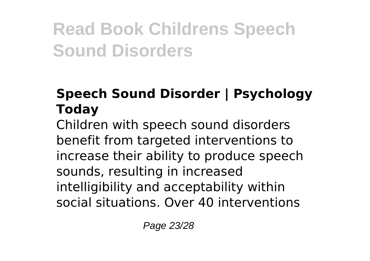#### **Speech Sound Disorder | Psychology Today**

Children with speech sound disorders benefit from targeted interventions to increase their ability to produce speech sounds, resulting in increased intelligibility and acceptability within social situations. Over 40 interventions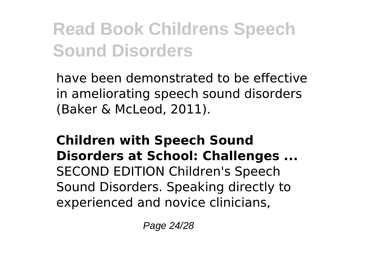have been demonstrated to be effective in ameliorating speech sound disorders (Baker & McLeod, 2011).

#### **Children with Speech Sound Disorders at School: Challenges ...** SECOND EDITION Children's Speech Sound Disorders. Speaking directly to experienced and novice clinicians,

Page 24/28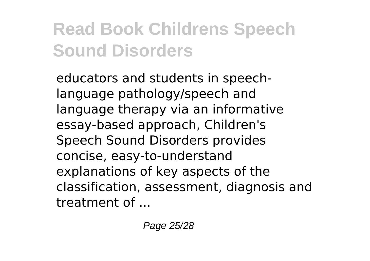educators and students in speechlanguage pathology/speech and language therapy via an informative essay-based approach, Children's Speech Sound Disorders provides concise, easy-to-understand explanations of key aspects of the classification, assessment, diagnosis and treatment of ...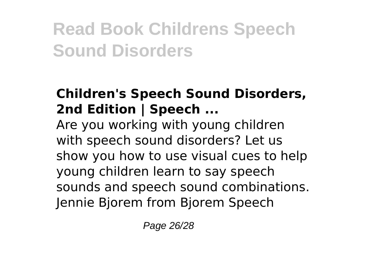#### **Children's Speech Sound Disorders, 2nd Edition | Speech ...**

Are you working with young children with speech sound disorders? Let us show you how to use visual cues to help young children learn to say speech sounds and speech sound combinations. Jennie Bjorem from Bjorem Speech

Page 26/28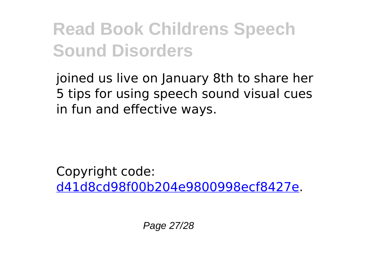joined us live on January 8th to share her 5 tips for using speech sound visual cues in fun and effective ways.

Copyright code: [d41d8cd98f00b204e9800998ecf8427e.](/sitemap.xml)

Page 27/28